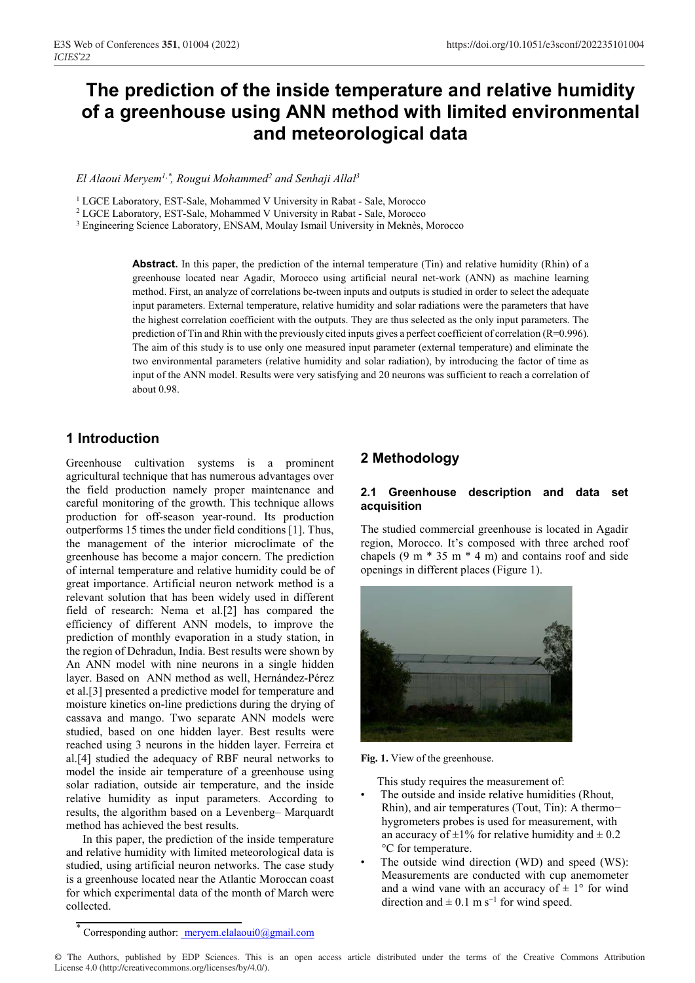# **The prediction of the inside temperature and relative humidity of a greenhouse using ANN method with limited environmental and meteorological data**

El Alaoui Meryem<sup>1,\*</sup>, Rougui Mohammed<sup>2</sup> and Senhaji Allal<sup>3</sup>

<sup>1</sup> LGCE Laboratory, EST-Sale, Mohammed V University in Rabat - Sale, Morocco

<sup>2</sup> LGCE Laboratory, EST-Sale, Mohammed V University in Rabat - Sale, Morocco

<sup>3</sup> Engineering Science Laboratory, ENSAM, Moulay Ismail University in Meknès, Morocco

**Abstract.** In this paper, the prediction of the internal temperature (Tin) and relative humidity (Rhin) of a greenhouse located near Agadir, Morocco using artificial neural net-work (ANN) as machine learning method. First, an analyze of correlations be-tween inputs and outputs is studied in order to select the adequate input parameters. External temperature, relative humidity and solar radiations were the parameters that have the highest correlation coefficient with the outputs. They are thus selected as the only input parameters. The prediction of Tin and Rhin with the previously cited inputs gives a perfect coefficient of correlation (R=0.996). The aim of this study is to use only one measured input parameter (external temperature) and eliminate the two environmental parameters (relative humidity and solar radiation), by introducing the factor of time as input of the ANN model. Results were very satisfying and 20 neurons was sufficient to reach a correlation of about 0.98.

### **1 Introduction**

Greenhouse cultivation systems is a prominent agricultural technique that has numerous advantages over the field production namely proper maintenance and careful monitoring of the growth. This technique allows production for off-season year-round. Its production outperforms 15 times the under field conditions [1]. Thus, the management of the interior microclimate of the greenhouse has become a major concern. The prediction of internal temperature and relative humidity could be of great importance. Artificial neuron network method is a relevant solution that has been widely used in different field of research: Nema et al.[2] has compared the efficiency of different ANN models, to improve the prediction of monthly evaporation in a study station, in the region of Dehradun, India. Best results were shown by An ANN model with nine neurons in a single hidden layer. Based on ANN method as well, Hernández-Pérez et al.[3] presented a predictive model for temperature and moisture kinetics on-line predictions during the drying of cassava and mango. Two separate ANN models were studied, based on one hidden layer. Best results were reached using 3 neurons in the hidden layer. Ferreira et al.[4] studied the adequacy of RBF neural networks to model the inside air temperature of a greenhouse using solar radiation, outside air temperature, and the inside relative humidity as input parameters. According to results, the algorithm based on a Levenberg– Marquardt method has achieved the best results.

In this paper, the prediction of the inside temperature and relative humidity with limited meteorological data is studied, using artificial neuron networks. The case study is a greenhouse located near the Atlantic Moroccan coast for which experimental data of the month of March were collected.

#### **2.1 Greenhouse description and data set acquisition**

The studied commercial greenhouse is located in Agadir region, Morocco. It's composed with three arched roof chapels  $(9 \text{ m} * 35 \text{ m} * 4 \text{ m})$  and contains roof and side openings in different places (Figure 1).



**Fig. 1.** View of the greenhouse.

This study requires the measurement of:

- The outside and inside relative humidities (Rhout, Rhin), and air temperatures (Tout, Tin): A thermo− hygrometers probes is used for measurement, with an accuracy of  $\pm 1\%$  for relative humidity and  $\pm 0.2$ °C for temperature.
- The outside wind direction (WD) and speed (WS): Measurements are conducted with cup anemometer and a wind vane with an accuracy of  $\pm 1^{\circ}$  for wind direction and  $\pm$  0.1 m s<sup>-1</sup> for wind speed.

© The Authors, published by EDP Sciences. This is an open access article distributed under the terms of the Creative Commons Attribution License 4.0 (http://creativecommons.org/licenses/by/4.0/).

**<sup>2</sup> Methodology**

Corresponding author: meryem.elalaoui0@gmail.com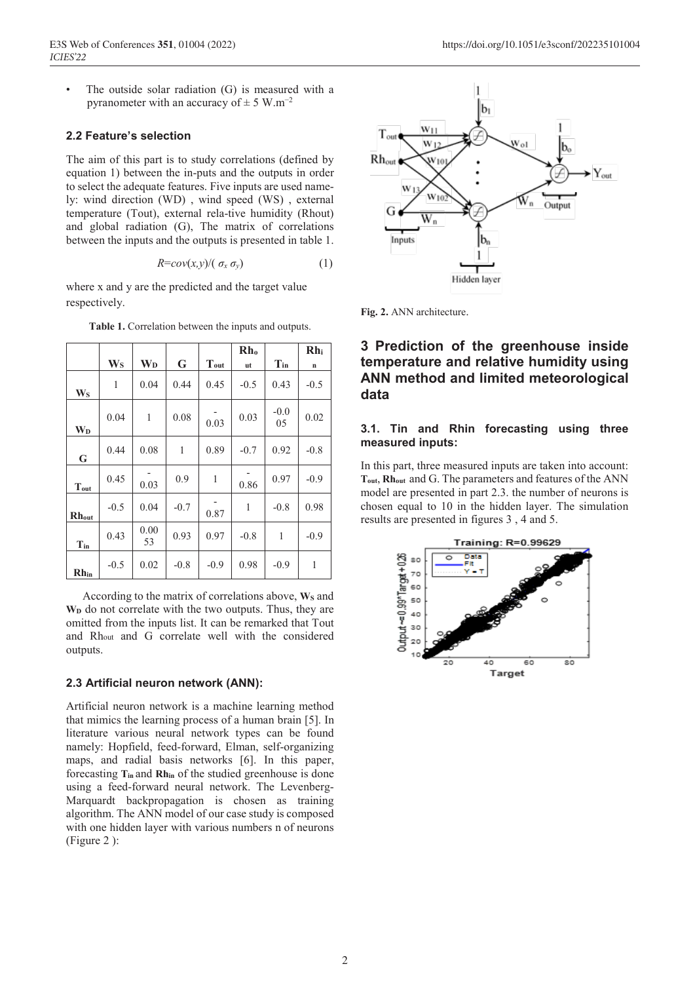The outside solar radiation  $(G)$  is measured with a pyranometer with an accuracy of  $\pm$  5 W.m<sup>-2</sup>

#### **2.2 Feature's selection**

The aim of this part is to study correlations (defined by equation 1) between the in-puts and the outputs in order to select the adequate features. Five inputs are used namely: wind direction (WD) , wind speed (WS) , external temperature (Tout), external rela-tive humidity (Rhout) and global radiation (G), The matrix of correlations between the inputs and the outputs is presented in table 1.

$$
R = cov(x, y) / (\sigma_x \sigma_y) \tag{1}
$$

where x and y are the predicted and the target value respectively.

|                       |                         |                       |        |              | Rh <sub>o</sub> |              | Rh <sub>i</sub> |
|-----------------------|-------------------------|-----------------------|--------|--------------|-----------------|--------------|-----------------|
|                       | $\mathbf{W}_\mathbf{S}$ | <b>W</b> <sub>D</sub> | G      | Tout         | ut              | $T_{in}$     | $\mathbf n$     |
| <b>Ws</b>             | 1                       | 0.04                  | 0.44   | 0.45         | $-0.5$          | 0.43         | $-0.5$          |
| <b>W</b> <sub>D</sub> | 0.04                    | $\mathbf{1}$          | 0.08   | 0.03         | 0.03            | $-0.0$<br>05 | 0.02            |
| $\mathbf G$           | 0.44                    | 0.08                  | 1      | 0.89         | $-0.7$          | 0.92         | $-0.8$          |
| Tout                  | 0.45                    | 0.03                  | 0.9    | $\mathbf{1}$ | 0.86            | 0.97         | $-0.9$          |
| <b>Rhout</b>          | $-0.5$                  | 0.04                  | $-0.7$ | 0.87         | 1               | $-0.8$       | 0.98            |
| $T_{in}$              | 0.43                    | 0.00<br>53            | 0.93   | 0.97         | $-0.8$          | $\mathbf{1}$ | $-0.9$          |
| $Rh_{in}$             | $-0.5$                  | 0.02                  | $-0.8$ | $-0.9$       | 0.98            | $-0.9$       | 1               |

**Table 1.** Correlation between the inputs and outputs.

According to the matrix of correlations above, W<sub>S</sub> and  $W<sub>D</sub>$  do not correlate with the two outputs. Thus, they are omitted from the inputs list. It can be remarked that Tout and Rhout and G correlate well with the considered outputs.

#### **2.3 Artificial neuron network (ANN):**

Artificial neuron network is a machine learning method that mimics the learning process of a human brain [5]. In literature various neural network types can be found namely: Hopfield, feed-forward, Elman, self-organizing maps, and radial basis networks [6]. In this paper, forecasting **Tin** and **Rhin** of the studied greenhouse is done using a feed-forward neural network. The Levenberg-Marquardt backpropagation is chosen as training algorithm. The ANN model of our case study is composed with one hidden layer with various numbers n of neurons (Figure 2 ):



**Fig. 2.** ANN architecture.

## **3 Prediction of the greenhouse inside temperature and relative humidity using ANN method and limited meteorological data**

#### **3.1. Tin and Rhin forecasting using three measured inputs:**

In this part, three measured inputs are taken into account: **Tout**, **Rhout** and G. The parameters and features of the ANN model are presented in part 2.3. the number of neurons is chosen equal to 10 in the hidden layer. The simulation results are presented in figures 3 , 4 and 5.

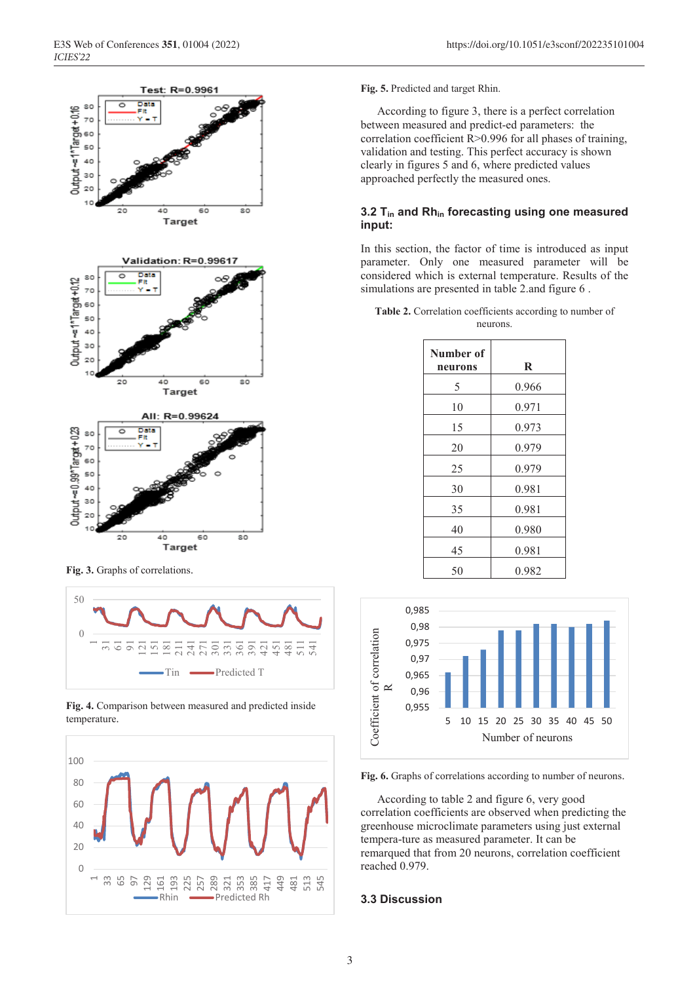

**Fig. 3.** Graphs of correlations.



**Fig. 4.** Comparison between measured and predicted inside temperature.



#### **Fig. 5.** Predicted and target Rhin.

According to figure 3, there is a perfect correlation between measured and predict-ed parameters: the correlation coefficient R>0.996 for all phases of training, validation and testing. This perfect accuracy is shown clearly in figures 5 and 6, where predicted values approached perfectly the measured ones.

#### **3.2 Tin and Rhin forecasting using one measured input:**

In this section, the factor of time is introduced as input parameter. Only one measured parameter will be considered which is external temperature. Results of the simulations are presented in table 2.and figure 6 .

**Table 2.** Correlation coefficients according to number of neurons.

| Number of<br>neurons | R     |
|----------------------|-------|
| 5                    | 0.966 |
| 10                   | 0.971 |
| 15                   | 0.973 |
| 20                   | 0.979 |
| 25                   | 0.979 |
| 30                   | 0.981 |
| 35                   | 0.981 |
| 40                   | 0.980 |
| 45                   | 0.981 |
| 50                   | 0.982 |



**Fig. 6.** Graphs of correlations according to number of neurons.

According to table 2 and figure 6, very good correlation coefficients are observed when predicting the greenhouse microclimate parameters using just external tempera-ture as measured parameter. It can be remarqued that from 20 neurons, correlation coefficient reached 0.979.

### **3.3 Discussion**